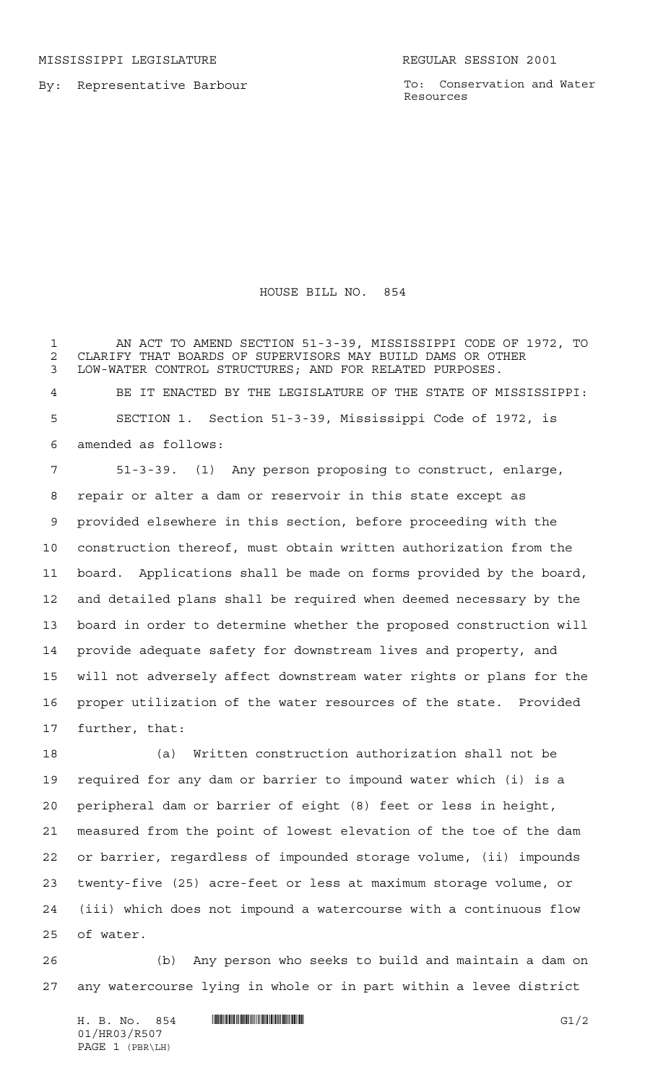By: Representative Barbour

To: Conservation and Water Resources

## HOUSE BILL NO. 854

 AN ACT TO AMEND SECTION 51-3-39, MISSISSIPPI CODE OF 1972, TO 2 CLARIFY THAT BOARDS OF SUPERVISORS MAY BUILD DAMS OR OTHER<br>3 LOW-WATER CONTROL STRUCTURES: AND FOR RELATED PURPOSES. LOW-WATER CONTROL STRUCTURES; AND FOR RELATED PURPOSES.

 BE IT ENACTED BY THE LEGISLATURE OF THE STATE OF MISSISSIPPI: SECTION 1. Section 51-3-39, Mississippi Code of 1972, is amended as follows:

 51-3-39. (1) Any person proposing to construct, enlarge, repair or alter a dam or reservoir in this state except as provided elsewhere in this section, before proceeding with the construction thereof, must obtain written authorization from the board. Applications shall be made on forms provided by the board, and detailed plans shall be required when deemed necessary by the board in order to determine whether the proposed construction will provide adequate safety for downstream lives and property, and will not adversely affect downstream water rights or plans for the proper utilization of the water resources of the state. Provided further, that:

 (a) Written construction authorization shall not be required for any dam or barrier to impound water which (i) is a peripheral dam or barrier of eight (8) feet or less in height, measured from the point of lowest elevation of the toe of the dam or barrier, regardless of impounded storage volume, (ii) impounds twenty-five (25) acre-feet or less at maximum storage volume, or (iii) which does not impound a watercourse with a continuous flow of water.

 (b) Any person who seeks to build and maintain a dam on any watercourse lying in whole or in part within a levee district

H. B. No. 854 \*HR03/R507\* G1/2 01/HR03/R507 PAGE 1 (PBR\LH)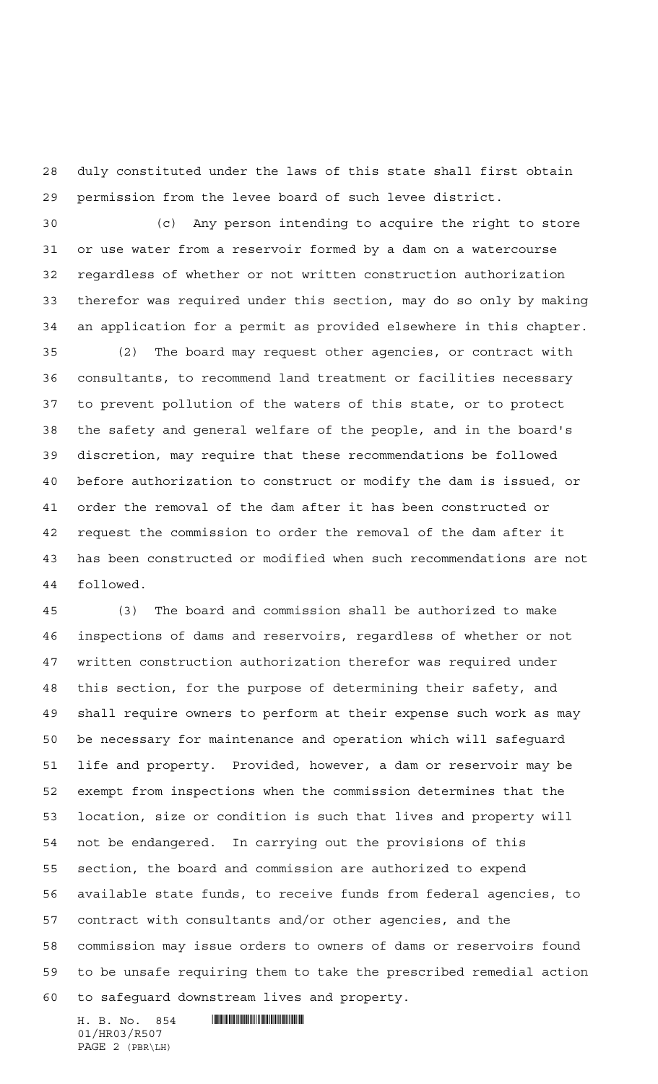duly constituted under the laws of this state shall first obtain permission from the levee board of such levee district.

 (c) Any person intending to acquire the right to store or use water from a reservoir formed by a dam on a watercourse regardless of whether or not written construction authorization therefor was required under this section, may do so only by making an application for a permit as provided elsewhere in this chapter.

 (2) The board may request other agencies, or contract with consultants, to recommend land treatment or facilities necessary to prevent pollution of the waters of this state, or to protect the safety and general welfare of the people, and in the board's discretion, may require that these recommendations be followed before authorization to construct or modify the dam is issued, or order the removal of the dam after it has been constructed or request the commission to order the removal of the dam after it has been constructed or modified when such recommendations are not followed.

 (3) The board and commission shall be authorized to make inspections of dams and reservoirs, regardless of whether or not written construction authorization therefor was required under this section, for the purpose of determining their safety, and shall require owners to perform at their expense such work as may be necessary for maintenance and operation which will safeguard life and property. Provided, however, a dam or reservoir may be exempt from inspections when the commission determines that the location, size or condition is such that lives and property will not be endangered. In carrying out the provisions of this section, the board and commission are authorized to expend available state funds, to receive funds from federal agencies, to contract with consultants and/or other agencies, and the commission may issue orders to owners of dams or reservoirs found to be unsafe requiring them to take the prescribed remedial action to safeguard downstream lives and property.

H. B. No. 854 **HROSOF HROSOF** 01/HR03/R507 PAGE 2 (PBR\LH)